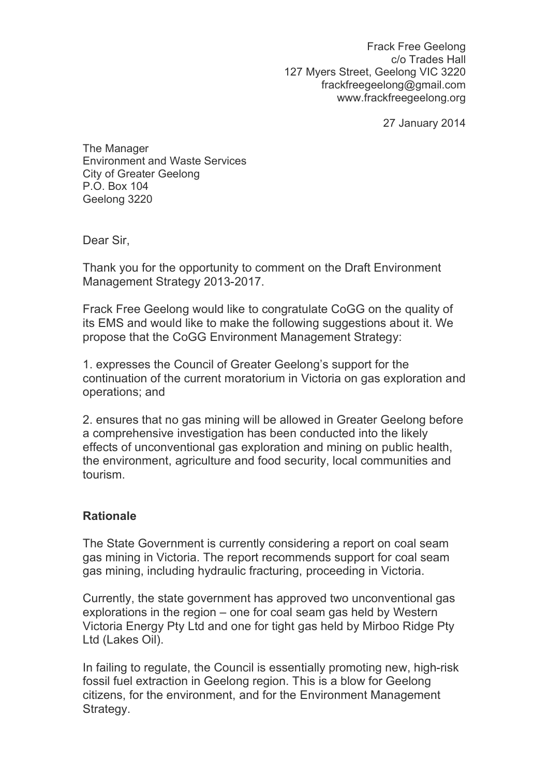Frack Free Geelong c/o Trades Hall 127 Myers Street, Geelong VIC 3220 frackfreegeelong@gmail.com www.frackfreegeelong.org

27 January 2014

The Manager Environment and Waste Services City of Greater Geelong P.O. Box 104 Geelong 3220

Dear Sir,

Thank you for the opportunity to comment on the Draft Environment Management Strategy 2013-2017.

Frack Free Geelong would like to congratulate CoGG on the quality of its EMS and would like to make the following suggestions about it. We propose that the CoGG Environment Management Strategy:

1. expresses the Council of Greater Geelong's support for the continuation of the current moratorium in Victoria on gas exploration and operations; and

2. ensures that no gas mining will be allowed in Greater Geelong before a comprehensive investigation has been conducted into the likely effects of unconventional gas exploration and mining on public health, the environment, agriculture and food security, local communities and tourism.

## **Rationale**

The State Government is currently considering a report on coal seam gas mining in Victoria. The report recommends support for coal seam gas mining, including hydraulic fracturing, proceeding in Victoria.

Currently, the state government has approved two unconventional gas explorations in the region – one for coal seam gas held by Western Victoria Energy Pty Ltd and one for tight gas held by Mirboo Ridge Pty Ltd (Lakes Oil).

In failing to regulate, the Council is essentially promoting new, high-risk fossil fuel extraction in Geelong region. This is a blow for Geelong citizens, for the environment, and for the Environment Management Strategy.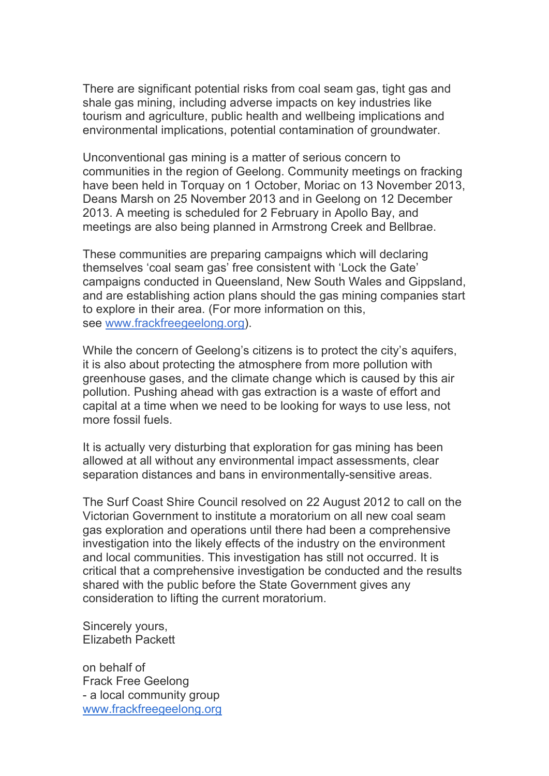There are significant potential risks from coal seam gas, tight gas and shale gas mining, including adverse impacts on key industries like tourism and agriculture, public health and wellbeing implications and environmental implications, potential contamination of groundwater.

Unconventional gas mining is a matter of serious concern to communities in the region of Geelong. Community meetings on fracking have been held in Torquay on 1 October, Moriac on 13 November 2013, Deans Marsh on 25 November 2013 and in Geelong on 12 December 2013. A meeting is scheduled for 2 February in Apollo Bay, and meetings are also being planned in Armstrong Creek and Bellbrae.

These communities are preparing campaigns which will declaring themselves 'coal seam gas' free consistent with 'Lock the Gate' campaigns conducted in Queensland, New South Wales and Gippsland, and are establishing action plans should the gas mining companies start to explore in their area. (For more information on this, see www.frackfreegeelong.org).

While the concern of Geelong's citizens is to protect the city's aquifers, it is also about protecting the atmosphere from more pollution with greenhouse gases, and the climate change which is caused by this air pollution. Pushing ahead with gas extraction is a waste of effort and capital at a time when we need to be looking for ways to use less, not more fossil fuels.

It is actually very disturbing that exploration for gas mining has been allowed at all without any environmental impact assessments, clear separation distances and bans in environmentally-sensitive areas.

The Surf Coast Shire Council resolved on 22 August 2012 to call on the Victorian Government to institute a moratorium on all new coal seam gas exploration and operations until there had been a comprehensive investigation into the likely effects of the industry on the environment and local communities. This investigation has still not occurred. It is critical that a comprehensive investigation be conducted and the results shared with the public before the State Government gives any consideration to lifting the current moratorium.

Sincerely yours, Elizabeth Packett

on behalf of Frack Free Geelong - a local community group www.frackfreegeelong.org